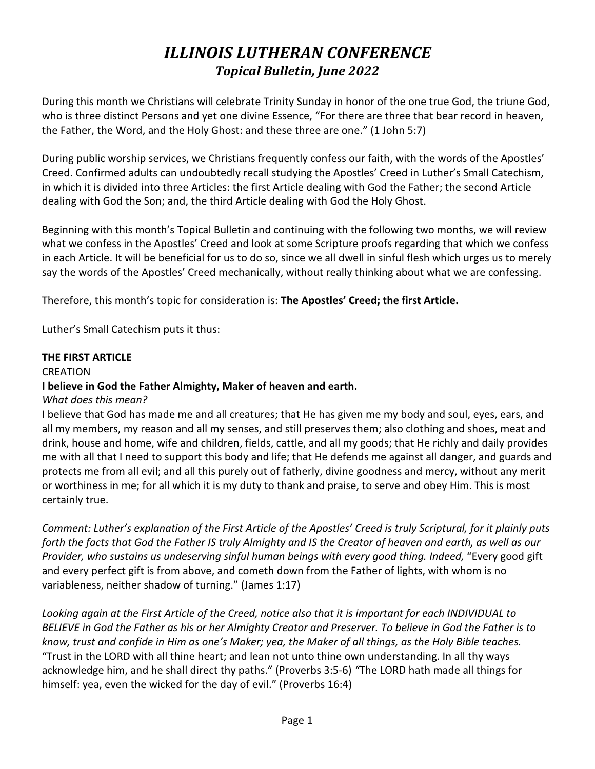# *ILLINOIS LUTHERAN CONFERENCE Topical Bulletin, June 2022*

During this month we Christians will celebrate Trinity Sunday in honor of the one true God, the triune God, who is three distinct Persons and yet one divine Essence, "For there are three that bear record in heaven, the Father, the Word, and the Holy Ghost: and these three are one." (1 John 5:7)

During public worship services, we Christians frequently confess our faith, with the words of the Apostles' Creed. Confirmed adults can undoubtedly recall studying the Apostles' Creed in Luther's Small Catechism, in which it is divided into three Articles: the first Article dealing with God the Father; the second Article dealing with God the Son; and, the third Article dealing with God the Holy Ghost.

Beginning with this month's Topical Bulletin and continuing with the following two months, we will review what we confess in the Apostles' Creed and look at some Scripture proofs regarding that which we confess in each Article. It will be beneficial for us to do so, since we all dwell in sinful flesh which urges us to merely say the words of the Apostles' Creed mechanically, without really thinking about what we are confessing.

Therefore, this month's topic for consideration is: **The Apostles' Creed; the first Article.**

Luther's Small Catechism puts it thus:

### **THE FIRST ARTICLE**

#### CREATION

## **I believe in God the Father Almighty, Maker of heaven and earth.**

#### *What does this mean?*

I believe that God has made me and all creatures; that He has given me my body and soul, eyes, ears, and all my members, my reason and all my senses, and still preserves them; also clothing and shoes, meat and drink, house and home, wife and children, fields, cattle, and all my goods; that He richly and daily provides me with all that I need to support this body and life; that He defends me against all danger, and guards and protects me from all evil; and all this purely out of fatherly, divine goodness and mercy, without any merit or worthiness in me; for all which it is my duty to thank and praise, to serve and obey Him. This is most certainly true.

*Comment: Luther's explanation of the First Article of the Apostles' Creed is truly Scriptural, for it plainly puts forth the facts that God the Father IS truly Almighty and IS the Creator of heaven and earth, as well as our Provider, who sustains us undeserving sinful human beings with every good thing. Indeed,* "Every good gift and every perfect gift is from above, and cometh down from the Father of lights, with whom is no variableness, neither shadow of turning." (James 1:17)

*Looking again at the First Article of the Creed, notice also that it is important for each INDIVIDUAL to BELIEVE in God the Father as his or her Almighty Creator and Preserver. To believe in God the Father is to know, trust and confide in Him as one's Maker; yea, the Maker of all things, as the Holy Bible teaches.* "Trust in the LORD with all thine heart; and lean not unto thine own understanding. In all thy ways acknowledge him, and he shall direct thy paths." (Proverbs 3:5-6) *"*The LORD hath made all things for himself: yea, even the wicked for the day of evil." (Proverbs 16:4)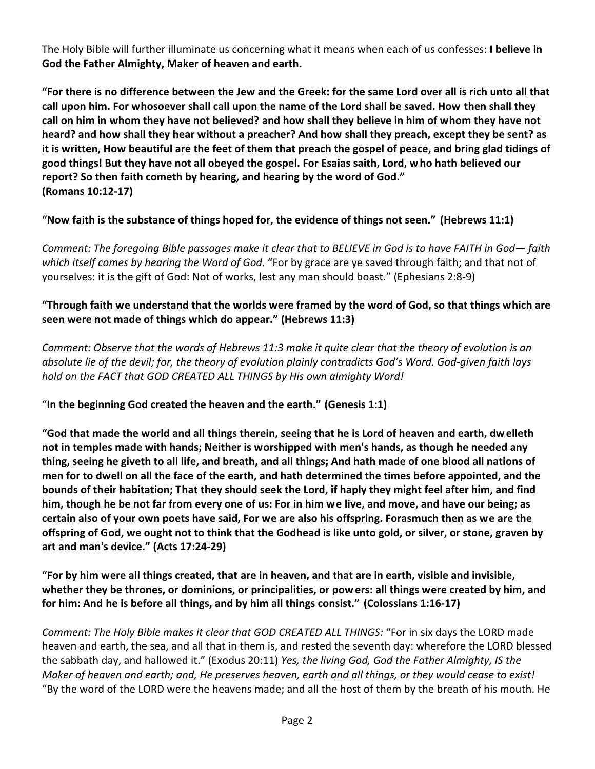The Holy Bible will further illuminate us concerning what it means when each of us confesses: **I believe in God the Father Almighty, Maker of heaven and earth.**

**"For there is no difference between the Jew and the Greek: for the same Lord over all is rich unto all that call upon him. For whosoever shall call upon the name of the Lord shall be saved. How then shall they call on him in whom they have not believed? and how shall they believe in him of whom they have not heard? and how shall they hear without a preacher? And how shall they preach, except they be sent? as it is written, How beautiful are the feet of them that preach the gospel of peace, and bring glad tidings of good things! But they have not all obeyed the gospel. For Esaias saith, Lord, who hath believed our report? So then faith cometh by hearing, and hearing by the word of God." (Romans 10:12-17)**

**"Now faith is the substance of things hoped for, the evidence of things not seen." (Hebrews 11:1)**

*Comment: The foregoing Bible passages make it clear that to BELIEVE in God is to have FAITH in God— faith which itself comes by hearing the Word of God.* "For by grace are ye saved through faith; and that not of yourselves: it is the gift of God: Not of works, lest any man should boast." (Ephesians 2:8-9)

# **"Through faith we understand that the worlds were framed by the word of God, so that things which are seen were not made of things which do appear." (Hebrews 11:3)**

*Comment: Observe that the words of Hebrews 11:3 make it quite clear that the theory of evolution is an absolute lie of the devil; for, the theory of evolution plainly contradicts God's Word. God-given faith lays hold on the FACT that GOD CREATED ALL THINGS by His own almighty Word!*

# "**In the beginning God created the heaven and the earth." (Genesis 1:1)**

**"God that made the world and all things therein, seeing that he is Lord of heaven and earth, dwelleth not in temples made with hands; Neither is worshipped with men's hands, as though he needed any thing, seeing he giveth to all life, and breath, and all things; And hath made of one blood all nations of men for to dwell on all the face of the earth, and hath determined the times before appointed, and the bounds of their habitation; That they should seek the Lord, if haply they might feel after him, and find him, though he be not far from every one of us: For in him we live, and move, and have our being; as certain also of your own poets have said, For we are also his offspring. Forasmuch then as we are the offspring of God, we ought not to think that the Godhead is like unto gold, or silver, or stone, graven by art and man's device." (Acts 17:24-29)**

**"For by him were all things created, that are in heaven, and that are in earth, visible and invisible, whether they be thrones, or dominions, or principalities, or powers: all things were created by him, and for him: And he is before all things, and by him all things consist." (Colossians 1:16-17)**

*Comment: The Holy Bible makes it clear that GOD CREATED ALL THINGS:* "For in six days the LORD made heaven and earth, the sea, and all that in them is, and rested the seventh day: wherefore the LORD blessed the sabbath day, and hallowed it." (Exodus 20:11) *Yes, the living God, God the Father Almighty, IS the Maker of heaven and earth; and, He preserves heaven, earth and all things, or they would cease to exist!* "By the word of the LORD were the heavens made; and all the host of them by the breath of his mouth. He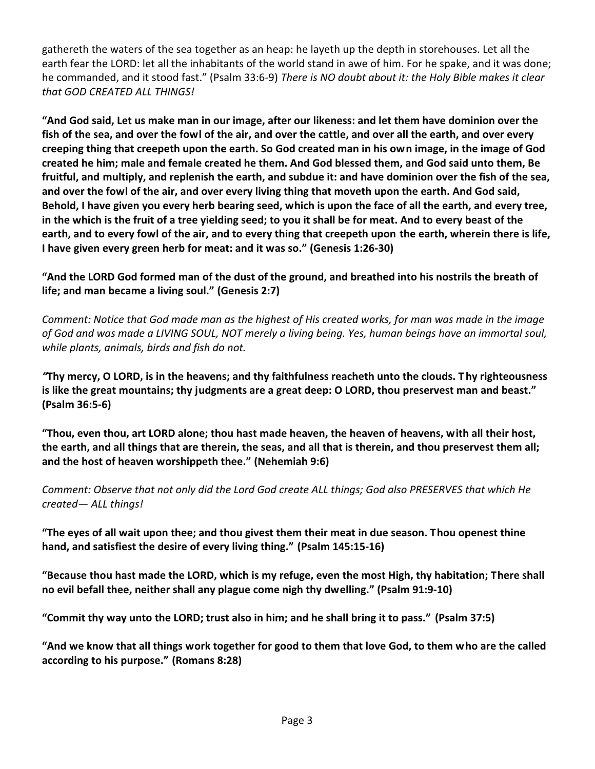gathereth the waters of the sea together as an heap: he layeth up the depth in storehouses. Let all the earth fear the LORD: let all the inhabitants of the world stand in awe of him. For he spake, and it was done; he commanded, and it stood fast." (Psalm 33:6-9) *There is NO doubt about it: the Holy Bible makes it clear that GOD CREATED ALL THINGS!* 

**"And God said, Let us make man in our image, after our likeness: and let them have dominion over the fish of the sea, and over the fowl of the air, and over the cattle, and over all the earth, and over every creeping thing that creepeth upon the earth. So God created man in his own image, in the image of God created he him; male and female created he them. And God blessed them, and God said unto them, Be fruitful, and multiply, and replenish the earth, and subdue it: and have dominion over the fish of the sea, and over the fowl of the air, and over every living thing that moveth upon the earth. And God said, Behold, I have given you every herb bearing seed, which is upon the face of all the earth, and every tree, in the which is the fruit of a tree yielding seed; to you it shall be for meat. And to every beast of the earth, and to every fowl of the air, and to every thing that creepeth upon the earth, wherein there is life, I have given every green herb for meat: and it was so." (Genesis 1:26-30)**

**"And the LORD God formed man of the dust of the ground, and breathed into his nostrils the breath of life; and man became a living soul." (Genesis 2:7)**

*Comment: Notice that God made man as the highest of His created works, for man was made in the image of God and was made a LIVING SOUL, NOT merely a living being. Yes, human beings have an immortal soul, while plants, animals, birds and fish do not.*

*"***Thy mercy, O LORD, is in the heavens; and thy faithfulness reacheth unto the clouds. Thy righteousness is like the great mountains; thy judgments are a great deep: O LORD, thou preservest man and beast." (Psalm 36:5-6)**

**"Thou, even thou, art LORD alone; thou hast made heaven, the heaven of heavens, with all their host, the earth, and all things that are therein, the seas, and all that is therein, and thou preservest them all; and the host of heaven worshippeth thee." (Nehemiah 9:6)**

*Comment: Observe that not only did the Lord God create ALL things; God also PRESERVES that which He created— ALL things!*

**"The eyes of all wait upon thee; and thou givest them their meat in due season. Thou openest thine hand, and satisfiest the desire of every living thing." (Psalm 145:15-16)**

**"Because thou hast made the LORD, which is my refuge, even the most High, thy habitation; There shall no evil befall thee, neither shall any plague come nigh thy dwelling." (Psalm 91:9-10)**

**"Commit thy way unto the LORD; trust also in him; and he shall bring it to pass." (Psalm 37:5)**

**"And we know that all things work together for good to them that love God, to them who are the called according to his purpose." (Romans 8:28)**